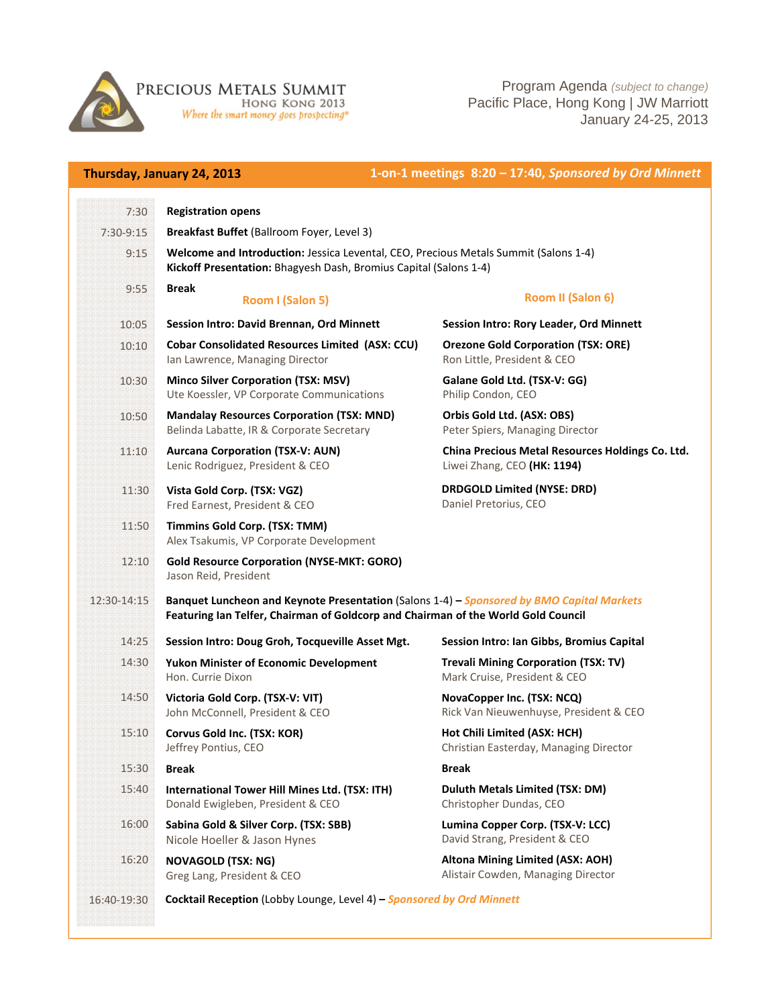

**PRECIOUS METALS SUMMIT**<br>EDNG KONG 2013<br>Where the smart money goes prospecting

Program Agenda *(subject to change)* Pacific Place, Hong Kong | JW Marriott January 24-25, 2013

| Thursday, January 24, 2013 |                                                                                                                                                                                | 1-on-1 meetings 8:20 - 17:40, Sponsored by Ord Minnett                          |  |
|----------------------------|--------------------------------------------------------------------------------------------------------------------------------------------------------------------------------|---------------------------------------------------------------------------------|--|
| 7:30                       | <b>Registration opens</b>                                                                                                                                                      |                                                                                 |  |
| 7:30-9:15                  | Breakfast Buffet (Ballroom Foyer, Level 3)                                                                                                                                     |                                                                                 |  |
| 9:15                       | Welcome and Introduction: Jessica Levental, CEO, Precious Metals Summit (Salons 1-4)<br>Kickoff Presentation: Bhagyesh Dash, Bromius Capital (Salons 1-4)                      |                                                                                 |  |
| 9:55                       | <b>Break</b><br>Room I (Salon 5)                                                                                                                                               | Room II (Salon 6)                                                               |  |
| 10:05                      | Session Intro: David Brennan, Ord Minnett                                                                                                                                      | Session Intro: Rory Leader, Ord Minnett                                         |  |
| 10:10                      | <b>Cobar Consolidated Resources Limited (ASX: CCU)</b><br>Ian Lawrence, Managing Director                                                                                      | <b>Orezone Gold Corporation (TSX: ORE)</b><br>Ron Little, President & CEO       |  |
| 10:30                      | <b>Minco Silver Corporation (TSX: MSV)</b><br>Ute Koessler, VP Corporate Communications                                                                                        | Galane Gold Ltd. (TSX-V: GG)<br>Philip Condon, CEO                              |  |
| 10:50                      | <b>Mandalay Resources Corporation (TSX: MND)</b><br>Belinda Labatte, IR & Corporate Secretary                                                                                  | Orbis Gold Ltd. (ASX: OBS)<br>Peter Spiers, Managing Director                   |  |
| 11:10                      | <b>Aurcana Corporation (TSX-V: AUN)</b><br>Lenic Rodriguez, President & CEO                                                                                                    | China Precious Metal Resources Holdings Co. Ltd.<br>Liwei Zhang, CEO (HK: 1194) |  |
| 11:30                      | Vista Gold Corp. (TSX: VGZ)<br>Fred Earnest, President & CEO                                                                                                                   | <b>DRDGOLD Limited (NYSE: DRD)</b><br>Daniel Pretorius, CEO                     |  |
| 11:50                      | Timmins Gold Corp. (TSX: TMM)<br>Alex Tsakumis, VP Corporate Development                                                                                                       |                                                                                 |  |
| 12:10                      | <b>Gold Resource Corporation (NYSE-MKT: GORO)</b><br>Jason Reid, President                                                                                                     |                                                                                 |  |
| 12:30-14:15                | Banquet Luncheon and Keynote Presentation (Salons 1-4) - Sponsored by BMO Capital Markets<br>Featuring Ian Telfer, Chairman of Goldcorp and Chairman of the World Gold Council |                                                                                 |  |
| 14:25                      | Session Intro: Doug Groh, Tocqueville Asset Mgt.                                                                                                                               | Session Intro: Ian Gibbs, Bromius Capital                                       |  |
| 14:30                      | <b>Yukon Minister of Economic Development</b><br>Hon. Currie Dixon                                                                                                             | <b>Trevali Mining Corporation (TSX: TV)</b><br>Mark Cruise, President & CEO     |  |
| 14:50                      | Victoria Gold Corp. (TSX-V: VIT)<br>John McConnell, President & CEO                                                                                                            | NovaCopper Inc. (TSX: NCQ)<br>Rick Van Nieuwenhuyse, President & CEO            |  |
| 15:10                      | Corvus Gold Inc. (TSX: KOR)<br>Jeffrey Pontius, CEO                                                                                                                            | Hot Chili Limited (ASX: HCH)<br>Christian Easterday, Managing Director          |  |
| 15:30                      | <b>Break</b>                                                                                                                                                                   | <b>Break</b>                                                                    |  |
| 15:40                      | International Tower Hill Mines Ltd. (TSX: ITH)<br>Donald Ewigleben, President & CEO                                                                                            | <b>Duluth Metals Limited (TSX: DM)</b><br>Christopher Dundas, CEO               |  |
| 16:00                      | Sabina Gold & Silver Corp. (TSX: SBB)<br>Nicole Hoeller & Jason Hynes                                                                                                          | Lumina Copper Corp. (TSX-V: LCC)<br>David Strang, President & CEO               |  |
| 16:20                      | <b>NOVAGOLD (TSX: NG)</b><br>Greg Lang, President & CEO                                                                                                                        | Altona Mining Limited (ASX: AOH)<br>Alistair Cowden, Managing Director          |  |
| 16:40-19:30                | Cocktail Reception (Lobby Lounge, Level 4) - Sponsored by Ord Minnett                                                                                                          |                                                                                 |  |